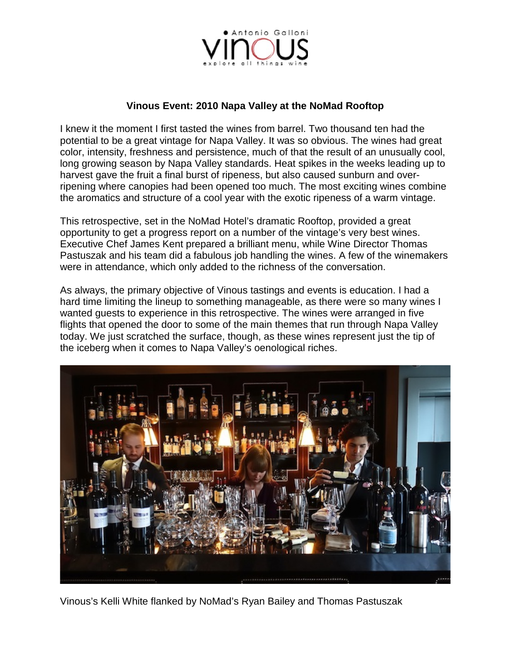

#### **Vinous Event: 2010 Napa Valley at the NoMad Rooftop**

I knew it the moment I first tasted the wines from barrel. Two thousand ten had the potential to be a great vintage for Napa Valley. It was so obvious. The wines had great color, intensity, freshness and persistence, much of that the result of an unusually cool, long growing season by Napa Valley standards. Heat spikes in the weeks leading up to harvest gave the fruit a final burst of ripeness, but also caused sunburn and overripening where canopies had been opened too much. The most exciting wines combine the aromatics and structure of a cool year with the exotic ripeness of a warm vintage.

This retrospective, set in the NoMad Hotel's dramatic Rooftop, provided a great opportunity to get a progress report on a number of the vintage's very best wines. Executive Chef James Kent prepared a brilliant menu, while Wine Director Thomas Pastuszak and his team did a fabulous job handling the wines. A few of the winemakers were in attendance, which only added to the richness of the conversation.

As always, the primary objective of Vinous tastings and events is education. I had a hard time limiting the lineup to something manageable, as there were so many wines I wanted guests to experience in this retrospective. The wines were arranged in five flights that opened the door to some of the main themes that run through Napa Valley today. We just scratched the surface, though, as these wines represent just the tip of the iceberg when it comes to Napa Valley's oenological riches.



Vinous's Kelli White flanked by NoMad's Ryan Bailey and Thomas Pastuszak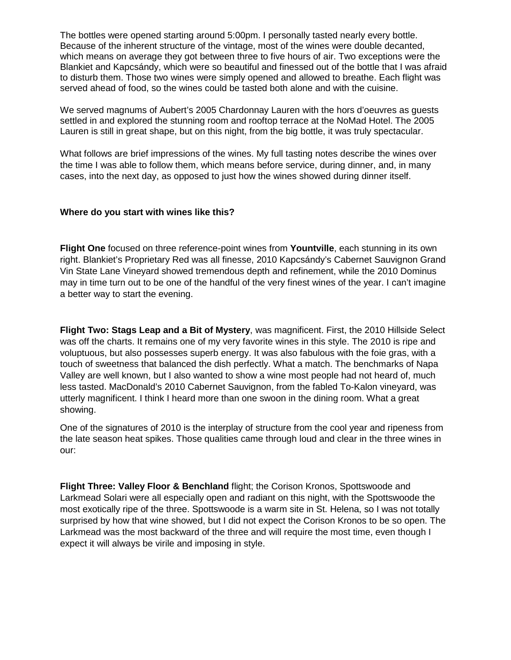The bottles were opened starting around 5:00pm. I personally tasted nearly every bottle. Because of the inherent structure of the vintage, most of the wines were double decanted, which means on average they got between three to five hours of air. Two exceptions were the Blankiet and Kapcsándy, which were so beautiful and finessed out of the bottle that I was afraid to disturb them. Those two wines were simply opened and allowed to breathe. Each flight was served ahead of food, so the wines could be tasted both alone and with the cuisine.

We served magnums of Aubert's 2005 Chardonnay Lauren with the hors d'oeuvres as guests settled in and explored the stunning room and rooftop terrace at the NoMad Hotel. The 2005 Lauren is still in great shape, but on this night, from the big bottle, it was truly spectacular.

What follows are brief impressions of the wines. My full tasting notes describe the wines over the time I was able to follow them, which means before service, during dinner, and, in many cases, into the next day, as opposed to just how the wines showed during dinner itself.

#### **Where do you start with wines like this?**

**Flight One** focused on three reference-point wines from **Yountville**, each stunning in its own right. Blankiet's Proprietary Red was all finesse, 2010 Kapcsándy's Cabernet Sauvignon Grand Vin State Lane Vineyard showed tremendous depth and refinement, while the 2010 Dominus may in time turn out to be one of the handful of the very finest wines of the year. I can't imagine a better way to start the evening.

**Flight Two: Stags Leap and a Bit of Mystery**, was magnificent. First, the 2010 Hillside Select was off the charts. It remains one of my very favorite wines in this style. The 2010 is ripe and voluptuous, but also possesses superb energy. It was also fabulous with the foie gras, with a touch of sweetness that balanced the dish perfectly. What a match. The benchmarks of Napa Valley are well known, but I also wanted to show a wine most people had not heard of, much less tasted. MacDonald's 2010 Cabernet Sauvignon, from the fabled To-Kalon vineyard, was utterly magnificent. I think I heard more than one swoon in the dining room. What a great showing.

One of the signatures of 2010 is the interplay of structure from the cool year and ripeness from the late season heat spikes. Those qualities came through loud and clear in the three wines in our:

**Flight Three: Valley Floor & Benchland** flight; the Corison Kronos, Spottswoode and Larkmead Solari were all especially open and radiant on this night, with the Spottswoode the most exotically ripe of the three. Spottswoode is a warm site in St. Helena, so I was not totally surprised by how that wine showed, but I did not expect the Corison Kronos to be so open. The Larkmead was the most backward of the three and will require the most time, even though I expect it will always be virile and imposing in style.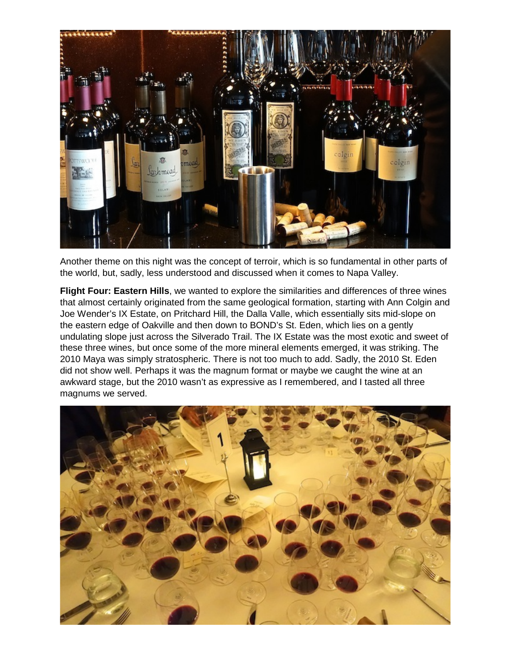

Another theme on this night was the concept of terroir, which is so fundamental in other parts of the world, but, sadly, less understood and discussed when it comes to Napa Valley.

**Flight Four: Eastern Hills**, we wanted to explore the similarities and differences of three wines that almost certainly originated from the same geological formation, starting with Ann Colgin and Joe Wender's IX Estate, on Pritchard Hill, the Dalla Valle, which essentially sits mid-slope on the eastern edge of Oakville and then down to BOND's St. Eden, which lies on a gently undulating slope just across the Silverado Trail. The IX Estate was the most exotic and sweet of these three wines, but once some of the more mineral elements emerged, it was striking. The 2010 Maya was simply stratospheric. There is not too much to add. Sadly, the 2010 St. Eden did not show well. Perhaps it was the magnum format or maybe we caught the wine at an awkward stage, but the 2010 wasn't as expressive as I remembered, and I tasted all three magnums we served.

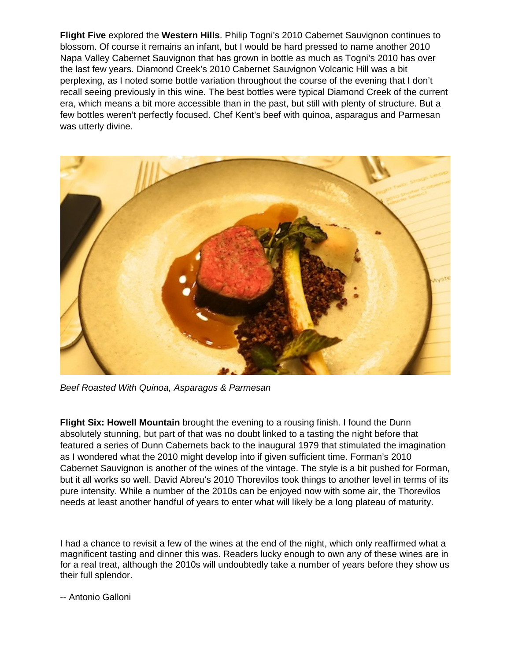**Flight Five** explored the **Western Hills**. Philip Togni's 2010 Cabernet Sauvignon continues to blossom. Of course it remains an infant, but I would be hard pressed to name another 2010 Napa Valley Cabernet Sauvignon that has grown in bottle as much as Togni's 2010 has over the last few years. Diamond Creek's 2010 Cabernet Sauvignon Volcanic Hill was a bit perplexing, as I noted some bottle variation throughout the course of the evening that I don't recall seeing previously in this wine. The best bottles were typical Diamond Creek of the current era, which means a bit more accessible than in the past, but still with plenty of structure. But a few bottles weren't perfectly focused. Chef Kent's beef with quinoa, asparagus and Parmesan was utterly divine.



*Beef Roasted With Quinoa, Asparagus & Parmesan*

**Flight Six: Howell Mountain** brought the evening to a rousing finish. I found the Dunn absolutely stunning, but part of that was no doubt linked to a tasting the night before that featured a series of Dunn Cabernets back to the inaugural 1979 that stimulated the imagination as I wondered what the 2010 might develop into if given sufficient time. Forman's 2010 Cabernet Sauvignon is another of the wines of the vintage. The style is a bit pushed for Forman, but it all works so well. David Abreu's 2010 Thorevilos took things to another level in terms of its pure intensity. While a number of the 2010s can be enjoyed now with some air, the Thorevilos needs at least another handful of years to enter what will likely be a long plateau of maturity.

I had a chance to revisit a few of the wines at the end of the night, which only reaffirmed what a magnificent tasting and dinner this was. Readers lucky enough to own any of these wines are in for a real treat, although the 2010s will undoubtedly take a number of years before they show us their full splendor.

-- Antonio Galloni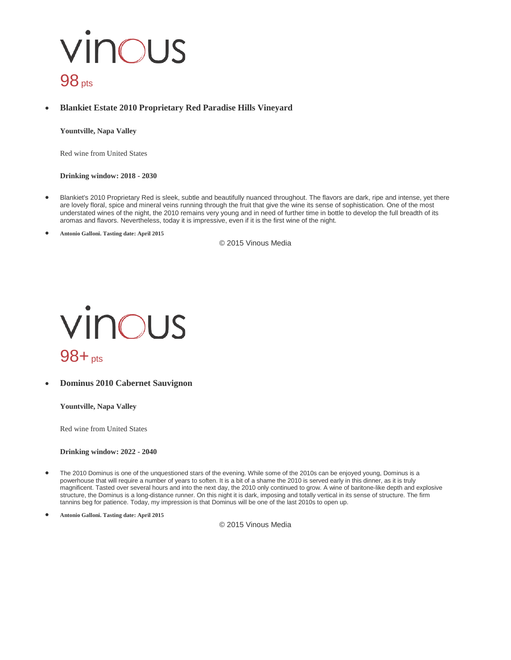### vinous  $98<sub>pts</sub>$

• **Blankiet Estate 2010 Proprietary Red Paradise Hills Vineyard**

**Yountville, Napa Valley**

Red wine from United States

**Drinking window: 2018 - 2030**

- Blankiet's 2010 Proprietary Red is sleek, subtle and beautifully nuanced throughout. The flavors are dark, ripe and intense, yet there are lovely floral, spice and mineral veins running through the fruit that give the wine its sense of sophistication. One of the most understated wines of the night, the 2010 remains very young and in need of further time in bottle to develop the full breadth of its aromas and flavors. Nevertheless, today it is impressive, even if it is the first wine of the night.
- **Antonio Galloni. Tasting date: April 2015**

© 2015 Vinous Media



• **Dominus 2010 Cabernet Sauvignon**

**Yountville, Napa Valley**

Red wine from United States

**Drinking window: 2022 - 2040**

- The 2010 Dominus is one of the unquestioned stars of the evening. While some of the 2010s can be enjoyed young, Dominus is a powerhouse that will require a number of years to soften. It is a bit of a shame the 2010 is served early in this dinner, as it is truly magnificent. Tasted over several hours and into the next day, the 2010 only continued to grow. A wine of baritone-like depth and explosive structure, the Dominus is a long-distance runner. On this night it is dark, imposing and totally vertical in its sense of structure. The firm tannins beg for patience. Today, my impression is that Dominus will be one of the last 2010s to open up.
- **Antonio Galloni. Tasting date: April 2015**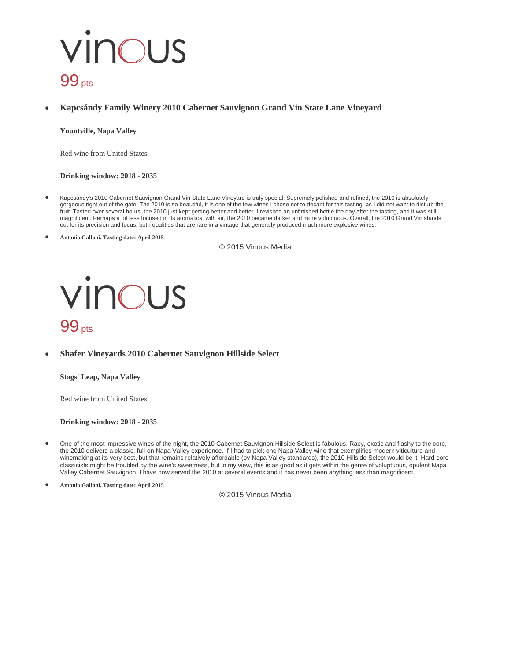## vinous  $99<sub>pts</sub>$

#### • **Kapcsándy Family Winery 2010 Cabernet Sauvignon Grand Vin State Lane Vineyard**

**Yountville, Napa Valley**

Red wine from United States

**Drinking window: 2018 - 2035**

- Kapcsándy's 2010 Cabernet Sauvignon Grand Vin State Lane Vineyard is truly special. Supremely polished and refined, the 2010 is absolutely gorgeous right out of the gate. The 2010 is so beautiful, it is one of the few wines I chose not to decant for this tasting, as I did not want to disturb the fruit. Tasted over several hours, the 2010 just kept getting better and better. I revisited an unfinished bottle the day after the tasting, and it was still magnificent. Perhaps a bit less focused in its aromatics, with air, the 2010 became darker and more voluptuous. Overall, the 2010 Grand Vin stands out for its precision and focus, both qualities that are rare in a vintage that generally produced much more explosive wines.
- **Antonio Galloni. Tasting date: April 2015**

© 2015 Vinous Media



#### • **Shafer Vineyards 2010 Cabernet Sauvignon Hillside Select**

**Stags' Leap, Napa Valley**

Red wine from United States

#### **Drinking window: 2018 - 2035**

- One of the most impressive wines of the night, the 2010 Cabernet Sauvignon Hillside Select is fabulous. Racy, exotic and flashy to the core, the 2010 delivers a classic, full-on Napa Valley experience. If I had to pick one Napa Valley wine that exemplifies modern viticulture and winemaking at its very best, but that remains relatively affordable (by Napa Valley standards), the 2010 Hillside Select would be it. Hard-core classicists might be troubled by the wine's sweetness, but in my view, this is as good as it gets within the genre of voluptuous, opulent Napa Valley Cabernet Sauvignon. I have now served the 2010 at several events and it has never been anything less than magnificent.
- **Antonio Galloni. Tasting date: April 2015**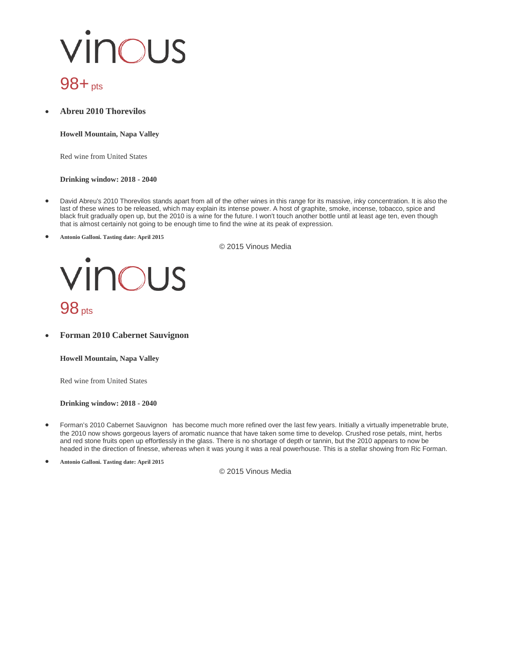# vinous

### 98+pts

• **Abreu 2010 Thorevilos**

**Howell Mountain, Napa Valley**

Red wine from United States

#### **Drinking window: 2018 - 2040**

- David Abreu's 2010 Thorevilos stands apart from all of the other wines in this range for its massive, inky concentration. It is also the last of these wines to be released, which may explain its intense power. A host of graphite, smoke, incense, tobacco, spice and black fruit gradually open up, but the 2010 is a wine for the future. I won't touch another bottle until at least age ten, even though that is almost certainly not going to be enough time to find the wine at its peak of expression.
- **Antonio Galloni. Tasting date: April 2015**

© 2015 Vinous Media



• **Forman 2010 Cabernet Sauvignon**

**Howell Mountain, Napa Valley**

Red wine from United States

**Drinking window: 2018 - 2040**

- Forman's 2010 Cabernet Sauvignon has become much more refined over the last few years. Initially a virtually impenetrable brute, the 2010 now shows gorgeous layers of aromatic nuance that have taken some time to develop. Crushed rose petals, mint, herbs and red stone fruits open up effortlessly in the glass. There is no shortage of depth or tannin, but the 2010 appears to now be headed in the direction of finesse, whereas when it was young it was a real powerhouse. This is a stellar showing from Ric Forman.
- **Antonio Galloni. Tasting date: April 2015**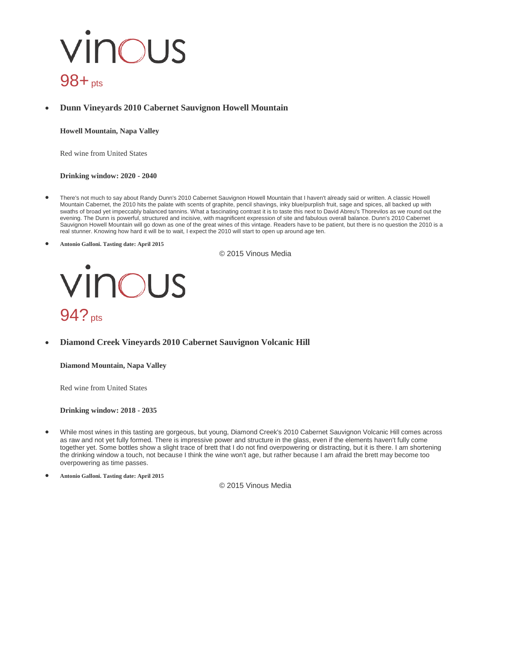### vinous 98+pts

#### • **Dunn Vineyards 2010 Cabernet Sauvignon Howell Mountain**

#### **Howell Mountain, Napa Valley**

Red wine from United States

#### **Drinking window: 2020 - 2040**

- There's not much to say about Randy Dunn's 2010 Cabernet Sauvignon Howell Mountain that I haven't already said or written. A classic Howell Mountain Cabernet, the 2010 hits the palate with scents of graphite, pencil shavings, inky blue/purplish fruit, sage and spices, all backed up with swaths of broad yet impeccably balanced tannins. What a fascinating contrast it is to taste this next to David Abreu's Thorevilos as we round out the evening. The Dunn is powerful, structured and incisive, with magnificent expression of site and fabulous overall balance. Dunn's 2010 Cabernet Sauvignon Howell Mountain will go down as one of the great wines of this vintage. Readers have to be patient, but there is no question the 2010 is a real stunner. Knowing how hard it will be to wait, I expect the 2010 will start to open up around age ten.
- **Antonio Galloni. Tasting date: April 2015**

© 2015 Vinous Media



• **Diamond Creek Vineyards 2010 Cabernet Sauvignon Volcanic Hill**

#### **Diamond Mountain, Napa Valley**

Red wine from United States

#### **Drinking window: 2018 - 2035**

• While most wines in this tasting are gorgeous, but young, Diamond Creek's 2010 Cabernet Sauvignon Volcanic Hill comes across as raw and not yet fully formed. There is impressive power and structure in the glass, even if the elements haven't fully come together yet. Some bottles show a slight trace of brett that I do not find overpowering or distracting, but it is there. I am shortening the drinking window a touch, not because I think the wine won't age, but rather because I am afraid the brett may become too overpowering as time passes.

• **Antonio Galloni. Tasting date: April 2015**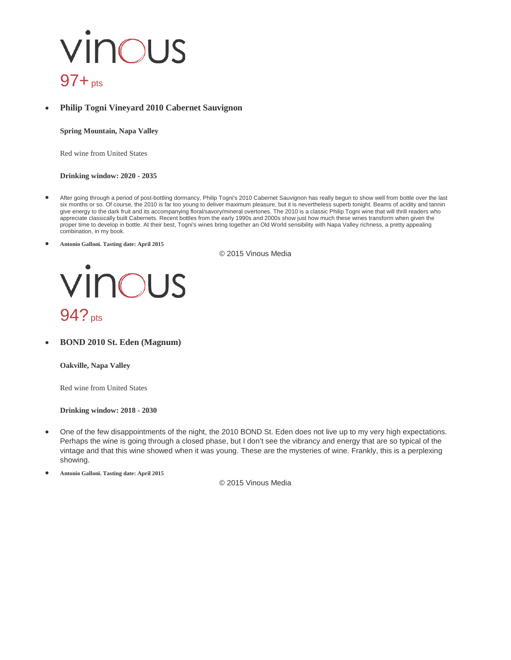### vinous  $97 + pts$

#### • **Philip Togni Vineyard 2010 Cabernet Sauvignon**

**Spring Mountain, Napa Valley**

Red wine from United States

**Drinking window: 2020 - 2035**

- After going through a period of post-bottling dormancy, Philip Togni's 2010 Cabernet Sauvignon has really begun to show well from bottle over the last six months or so. Of course, the 2010 is far too young to deliver maximum pleasure, but it is nevertheless superb tonight. Beams of acidity and tannin give energy to the dark fruit and its accompanying floral/savory/mineral overtones. The 2010 is a classic Philip Togni wine that will thrill readers who appreciate classically built Cabernets. Recent bottles from the early 1990s and 2000s show just how much these wines transform when given the proper time to develop in bottle. At their best, Togni's wines bring together an Old World sensibility with Napa Valley richness, a pretty appealing combination, in my book.
- **Antonio Galloni. Tasting date: April 2015**

© 2015 Vinous Media



• **BOND 2010 St. Eden (Magnum)**

**Oakville, Napa Valley**

Red wine from United States

**Drinking window: 2018 - 2030**

• One of the few disappointments of the night, the 2010 BOND St. Eden does not live up to my very high expectations. Perhaps the wine is going through a closed phase, but I don't see the vibrancy and energy that are so typical of the vintage and that this wine showed when it was young. These are the mysteries of wine. Frankly, this is a perplexing showing.

• **Antonio Galloni. Tasting date: April 2015**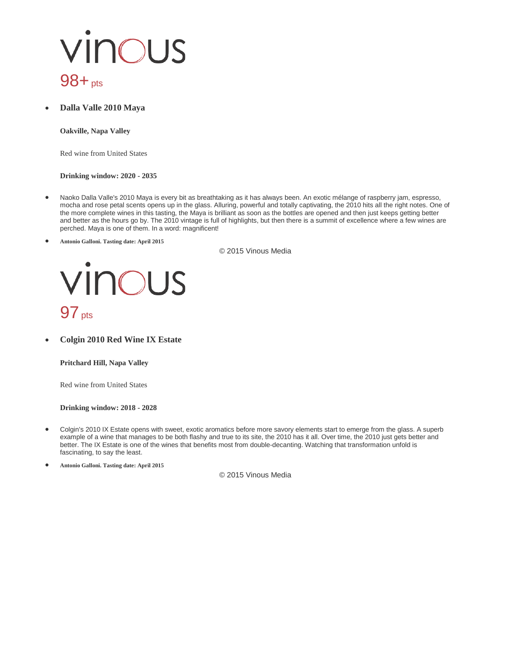### vinous 98+pts

• **Dalla Valle 2010 Maya**

**Oakville, Napa Valley**

Red wine from United States

#### **Drinking window: 2020 - 2035**

- Naoko Dalla Valle's 2010 Maya is every bit as breathtaking as it has always been. An exotic mélange of raspberry jam, espresso, mocha and rose petal scents opens up in the glass. Alluring, powerful and totally captivating, the 2010 hits all the right notes. One of the more complete wines in this tasting, the Maya is brilliant as soon as the bottles are opened and then just keeps getting better and better as the hours go by. The 2010 vintage is full of highlights, but then there is a summit of excellence where a few wines are perched. Maya is one of them. In a word: magnificent!
- **Antonio Galloni. Tasting date: April 2015**

© 2015 Vinous Media



• **Colgin 2010 Red Wine IX Estate**

**Pritchard Hill, Napa Valley**

Red wine from United States

#### **Drinking window: 2018 - 2028**

- Colgin's 2010 IX Estate opens with sweet, exotic aromatics before more savory elements start to emerge from the glass. A superb example of a wine that manages to be both flashy and true to its site, the 2010 has it all. Over time, the 2010 just gets better and better. The IX Estate is one of the wines that benefits most from double-decanting. Watching that transformation unfold is fascinating, to say the least.
- **Antonio Galloni. Tasting date: April 2015**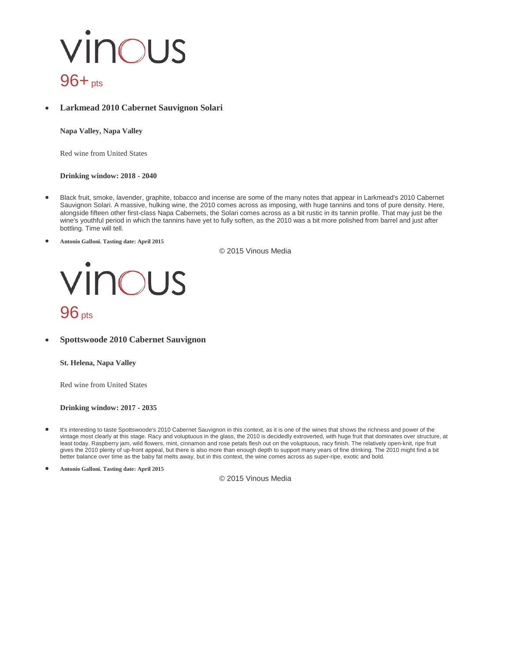### vinous 96+<sub>pts</sub>

#### • **Larkmead 2010 Cabernet Sauvignon Solari**

**Napa Valley, Napa Valley**

Red wine from United States

#### **Drinking window: 2018 - 2040**

- Black fruit, smoke, lavender, graphite, tobacco and incense are some of the many notes that appear in Larkmead's 2010 Cabernet Sauvignon Solari. A massive, hulking wine, the 2010 comes across as imposing, with huge tannins and tons of pure density. Here, alongside fifteen other first-class Napa Cabernets, the Solari comes across as a bit rustic in its tannin profile. That may just be the wine's youthful period in which the tannins have yet to fully soften, as the 2010 was a bit more polished from barrel and just after bottling. Time will tell.
- **Antonio Galloni. Tasting date: April 2015**

© 2015 Vinous Media



• **Spottswoode 2010 Cabernet Sauvignon**

**St. Helena, Napa Valley**

Red wine from United States

**Drinking window: 2017 - 2035**

- It's interesting to taste Spottswoode's 2010 Cabernet Sauvignon in this context, as it is one of the wines that shows the richness and power of the vintage most clearly at this stage. Racy and voluptuous in the glass, the 2010 is decidedly extroverted, with huge fruit that dominates over structure, at least today. Raspberry jam, wild flowers, mint, cinnamon and rose petals flesh out on the voluptuous, racy finish. The relatively open-knit, ripe fruit gives the 2010 plenty of up-front appeal, but there is also more than enough depth to support many years of fine drinking. The 2010 might find a bit better balance over time as the baby fat melts away, but in this context, the wine comes across as super-ripe, exotic and bold.
- **Antonio Galloni. Tasting date: April 2015**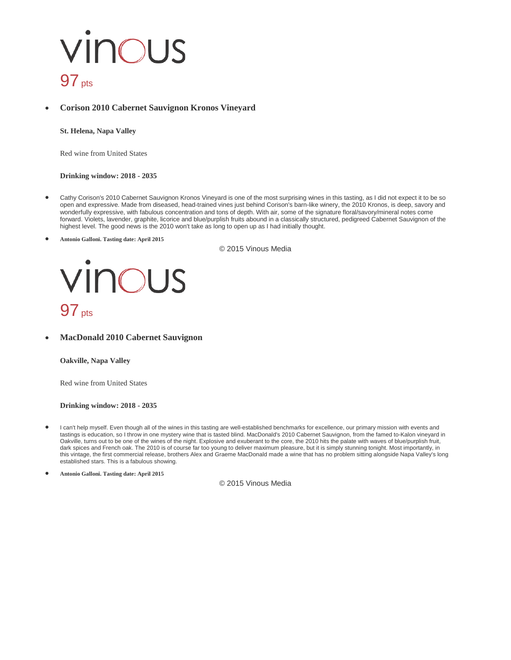### vinous  $97<sub>pts</sub>$

#### • **Corison 2010 Cabernet Sauvignon Kronos Vineyard**

**St. Helena, Napa Valley**

Red wine from United States

**Drinking window: 2018 - 2035**

- Cathy Corison's 2010 Cabernet Sauvignon Kronos Vineyard is one of the most surprising wines in this tasting, as I did not expect it to be so open and expressive. Made from diseased, head-trained vines just behind Corison's barn-like winery, the 2010 Kronos, is deep, savory and wonderfully expressive, with fabulous concentration and tons of depth. With air, some of the signature floral/savory/mineral notes come forward. Violets, lavender, graphite, licorice and blue/purplish fruits abound in a classically structured, pedigreed Cabernet Sauvignon of the highest level. The good news is the 2010 won't take as long to open up as I had initially thought.
- **Antonio Galloni. Tasting date: April 2015**

© 2015 Vinous Media



• **MacDonald 2010 Cabernet Sauvignon**

**Oakville, Napa Valley**

Red wine from United States

**Drinking window: 2018 - 2035**

• I can't help myself. Even though all of the wines in this tasting are well-established benchmarks for excellence, our primary mission with events and tastings is education, so I throw in one mystery wine that is tasted blind. MacDonald's 2010 Cabernet Sauvignon, from the famed to-Kalon vineyard in Oakville, turns out to be one of the wines of the night. Explosive and exuberant to the core, the 2010 hits the palate with waves of blue/purplish fruit, dark spices and French oak. The 2010 is of course far too young to deliver maximum pleasure, but it is simply stunning tonight. Most importantly, in this vintage, the first commercial release, brothers Alex and Graeme MacDonald made a wine that has no problem sitting alongside Napa Valley's long established stars. This is a fabulous showing.

• **Antonio Galloni. Tasting date: April 2015**